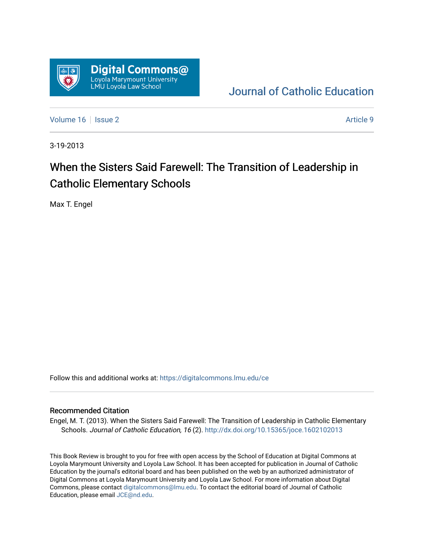

[Journal of Catholic Education](https://digitalcommons.lmu.edu/ce) 

[Volume 16](https://digitalcommons.lmu.edu/ce/vol16) September 2 Article 9

3-19-2013

## When the Sisters Said Farewell: The Transition of Leadership in Catholic Elementary Schools

Max T. Engel

Follow this and additional works at: [https://digitalcommons.lmu.edu/ce](https://digitalcommons.lmu.edu/ce?utm_source=digitalcommons.lmu.edu%2Fce%2Fvol16%2Fiss2%2F9&utm_medium=PDF&utm_campaign=PDFCoverPages)

## Recommended Citation

Engel, M. T. (2013). When the Sisters Said Farewell: The Transition of Leadership in Catholic Elementary Schools. Journal of Catholic Education, 16 (2). <http://dx.doi.org/10.15365/joce.1602102013>

This Book Review is brought to you for free with open access by the School of Education at Digital Commons at Loyola Marymount University and Loyola Law School. It has been accepted for publication in Journal of Catholic Education by the journal's editorial board and has been published on the web by an authorized administrator of Digital Commons at Loyola Marymount University and Loyola Law School. For more information about Digital Commons, please contact [digitalcommons@lmu.edu.](mailto:digitalcommons@lmu.edu) To contact the editorial board of Journal of Catholic Education, please email [JCE@nd.edu.](mailto:JCE@nd.edu)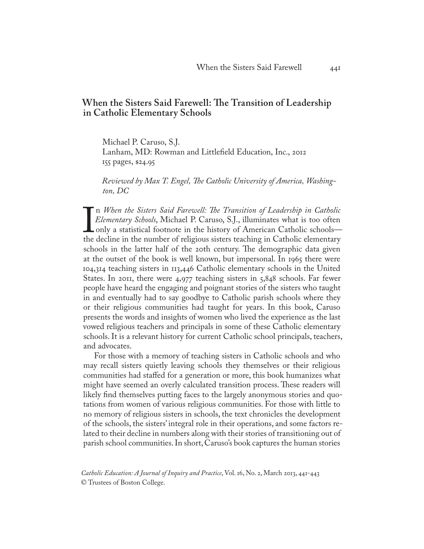## **When the Sisters Said Farewell: The Transition of Leadership in Catholic Elementary Schools**

Michael P. Caruso, S.J. Lanham, MD: Rowman and Littlefield Education, Inc., 2012 155 pages, \$24.95

*Reviewed by Max T. Engel, The Catholic University of America, Washington, DC*

Elementary Schools, Michael P. Caruso, S.J., illuminates what is too often<br>only a statistical footnote in the history of American Catholic schools—<br>the decline in the number of religious sisters teaching in Catholic elemen n *When the Sisters Said Farewell: The Transition of Leadership in Catholic Elementary Schools*, Michael P. Caruso, S.J., illuminates what is too often only a statistical footnote in the history of American Catholic schools schools in the latter half of the 20th century. The demographic data given at the outset of the book is well known, but impersonal. In 1965 there were 104,314 teaching sisters in 113,446 Catholic elementary schools in the United States. In 2011, there were 4,977 teaching sisters in 5,848 schools. Far fewer people have heard the engaging and poignant stories of the sisters who taught in and eventually had to say goodbye to Catholic parish schools where they or their religious communities had taught for years. In this book, Caruso presents the words and insights of women who lived the experience as the last vowed religious teachers and principals in some of these Catholic elementary schools. It is a relevant history for current Catholic school principals, teachers, and advocates.

For those with a memory of teaching sisters in Catholic schools and who may recall sisters quietly leaving schools they themselves or their religious communities had staffed for a generation or more, this book humanizes what might have seemed an overly calculated transition process. These readers will likely find themselves putting faces to the largely anonymous stories and quotations from women of various religious communities. For those with little to no memory of religious sisters in schools, the text chronicles the development of the schools, the sisters' integral role in their operations, and some factors related to their decline in numbers along with their stories of transitioning out of parish school communities. In short, Caruso's book captures the human stories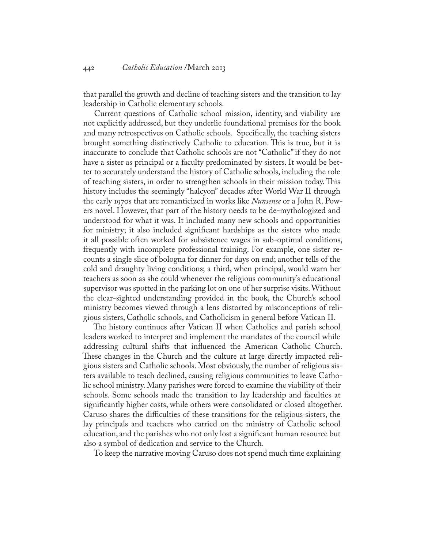that parallel the growth and decline of teaching sisters and the transition to lay leadership in Catholic elementary schools.

Current questions of Catholic school mission, identity, and viability are not explicitly addressed, but they underlie foundational premises for the book and many retrospectives on Catholic schools. Specifically, the teaching sisters brought something distinctively Catholic to education. This is true, but it is inaccurate to conclude that Catholic schools are not "Catholic" if they do not have a sister as principal or a faculty predominated by sisters. It would be better to accurately understand the history of Catholic schools, including the role of teaching sisters, in order to strengthen schools in their mission today. This history includes the seemingly "halcyon" decades after World War II through the early 1970s that are romanticized in works like *Nunsense* or a John R. Powers novel. However, that part of the history needs to be de-mythologized and understood for what it was. It included many new schools and opportunities for ministry; it also included significant hardships as the sisters who made it all possible often worked for subsistence wages in sub-optimal conditions, frequently with incomplete professional training. For example, one sister recounts a single slice of bologna for dinner for days on end; another tells of the cold and draughty living conditions; a third, when principal, would warn her teachers as soon as she could whenever the religious community's educational supervisor was spotted in the parking lot on one of her surprise visits. Without the clear-sighted understanding provided in the book, the Church's school ministry becomes viewed through a lens distorted by misconceptions of religious sisters, Catholic schools, and Catholicism in general before Vatican II.

The history continues after Vatican II when Catholics and parish school leaders worked to interpret and implement the mandates of the council while addressing cultural shifts that influenced the American Catholic Church. These changes in the Church and the culture at large directly impacted religious sisters and Catholic schools. Most obviously, the number of religious sisters available to teach declined, causing religious communities to leave Catholic school ministry. Many parishes were forced to examine the viability of their schools. Some schools made the transition to lay leadership and faculties at significantly higher costs, while others were consolidated or closed altogether. Caruso shares the difficulties of these transitions for the religious sisters, the lay principals and teachers who carried on the ministry of Catholic school education, and the parishes who not only lost a significant human resource but also a symbol of dedication and service to the Church.

To keep the narrative moving Caruso does not spend much time explaining